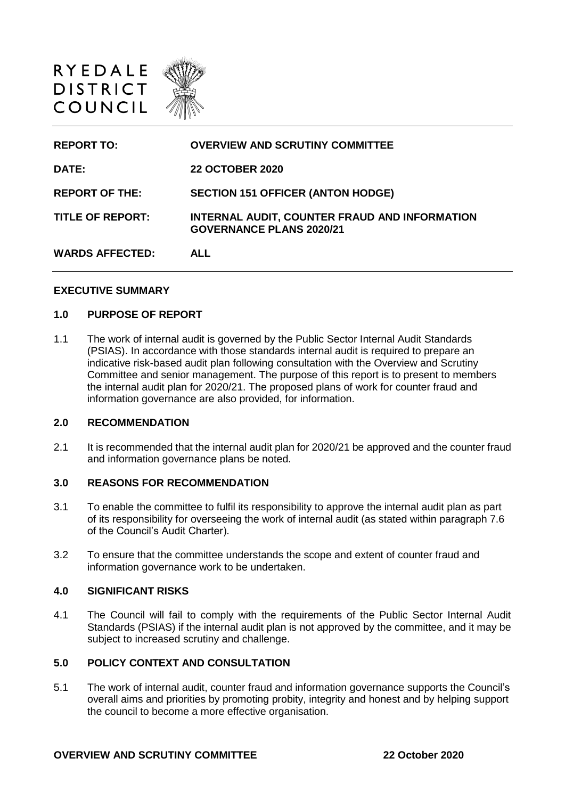

| <b>REPORT TO:</b>       | <b>OVERVIEW AND SCRUTINY COMMITTEE</b>                                           |
|-------------------------|----------------------------------------------------------------------------------|
| DATE:                   | <b>22 OCTOBER 2020</b>                                                           |
| <b>REPORT OF THE:</b>   | <b>SECTION 151 OFFICER (ANTON HODGE)</b>                                         |
| <b>TITLE OF REPORT:</b> | INTERNAL AUDIT, COUNTER FRAUD AND INFORMATION<br><b>GOVERNANCE PLANS 2020/21</b> |
| <b>WARDS AFFECTED:</b>  | <b>ALL</b>                                                                       |

#### **EXECUTIVE SUMMARY**

#### **1.0 PURPOSE OF REPORT**

1.1 The work of internal audit is governed by the Public Sector Internal Audit Standards (PSIAS). In accordance with those standards internal audit is required to prepare an indicative risk-based audit plan following consultation with the Overview and Scrutiny Committee and senior management. The purpose of this report is to present to members the internal audit plan for 2020/21. The proposed plans of work for counter fraud and information governance are also provided, for information.

### **2.0 RECOMMENDATION**

2.1 It is recommended that the internal audit plan for 2020/21 be approved and the counter fraud and information governance plans be noted.

### **3.0 REASONS FOR RECOMMENDATION**

- 3.1 To enable the committee to fulfil its responsibility to approve the internal audit plan as part of its responsibility for overseeing the work of internal audit (as stated within paragraph 7.6 of the Council's Audit Charter).
- 3.2 To ensure that the committee understands the scope and extent of counter fraud and information governance work to be undertaken.

#### **4.0 SIGNIFICANT RISKS**

4.1 The Council will fail to comply with the requirements of the Public Sector Internal Audit Standards (PSIAS) if the internal audit plan is not approved by the committee, and it may be subject to increased scrutiny and challenge.

## **5.0 POLICY CONTEXT AND CONSULTATION**

5.1 The work of internal audit, counter fraud and information governance supports the Council's overall aims and priorities by promoting probity, integrity and honest and by helping support the council to become a more effective organisation.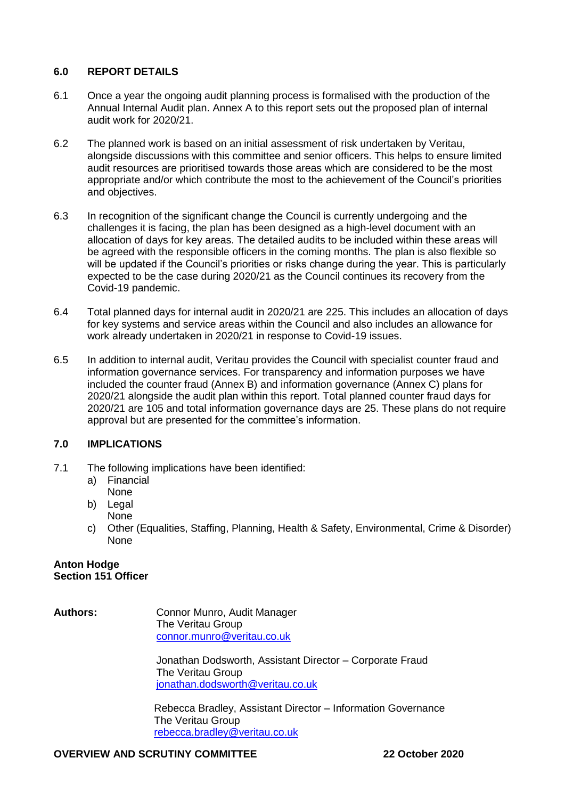## **6.0 REPORT DETAILS**

- 6.1 Once a year the ongoing audit planning process is formalised with the production of the Annual Internal Audit plan. Annex A to this report sets out the proposed plan of internal audit work for 2020/21.
- 6.2 The planned work is based on an initial assessment of risk undertaken by Veritau, alongside discussions with this committee and senior officers. This helps to ensure limited audit resources are prioritised towards those areas which are considered to be the most appropriate and/or which contribute the most to the achievement of the Council's priorities and objectives.
- 6.3 In recognition of the significant change the Council is currently undergoing and the challenges it is facing, the plan has been designed as a high-level document with an allocation of days for key areas. The detailed audits to be included within these areas will be agreed with the responsible officers in the coming months. The plan is also flexible so will be updated if the Council's priorities or risks change during the year. This is particularly expected to be the case during 2020/21 as the Council continues its recovery from the Covid-19 pandemic.
- 6.4 Total planned days for internal audit in 2020/21 are 225. This includes an allocation of days for key systems and service areas within the Council and also includes an allowance for work already undertaken in 2020/21 in response to Covid-19 issues.
- 6.5 In addition to internal audit, Veritau provides the Council with specialist counter fraud and information governance services. For transparency and information purposes we have included the counter fraud (Annex B) and information governance (Annex C) plans for 2020/21 alongside the audit plan within this report. Total planned counter fraud days for 2020/21 are 105 and total information governance days are 25. These plans do not require approval but are presented for the committee's information.

## **7.0 IMPLICATIONS**

- 7.1 The following implications have been identified:
	- a) Financial None
	- b) Legal
	- None
	- c) Other (Equalities, Staffing, Planning, Health & Safety, Environmental, Crime & Disorder) None

#### **Anton Hodge Section 151 Officer**

**Authors:** Connor Munro, Audit Manager The Veritau Group [connor.munro@veritau.co.uk](mailto:connor.munro@veritau.co.uk)

> Jonathan Dodsworth, Assistant Director – Corporate Fraud The Veritau Group [jonathan.dodsworth@veritau.co.uk](mailto:jonathan.dodsworth@veritau.co.uk)

Rebecca Bradley, Assistant Director – Information Governance The Veritau Group [rebecca.bradley@veritau.co.uk](mailto:rebecca.bradley@veritau.co.uk)